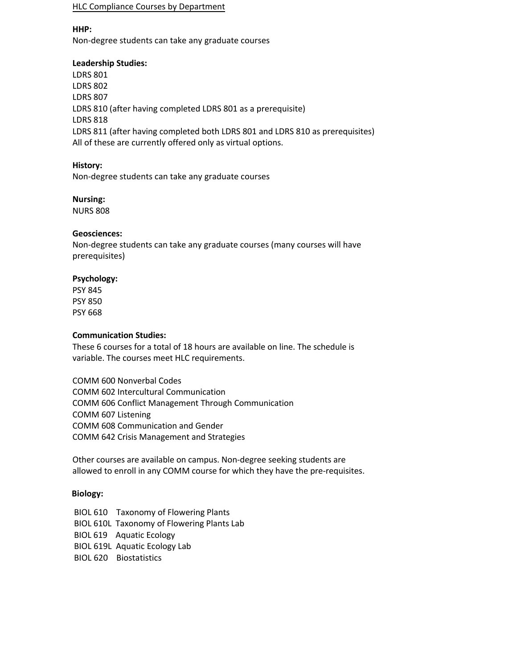#### HLC Compliance Courses by Department

#### **HHP:**

Non-degree students can take any graduate courses

## **Leadership Studies:**

LDRS 801 LDRS 802 LDRS 807 LDRS 810 (after having completed LDRS 801 as a prerequisite) LDRS 818 LDRS 811 (after having completed both LDRS 801 and LDRS 810 as prerequisites) All of these are currently offered only as virtual options.

# **History:**

Non-degree students can take any graduate courses

# **Nursing:**

NURS 808

# **Geosciences:**

Non-degree students can take any graduate courses (many courses will have prerequisites)

# **Psychology:**

PSY 845 PSY 850 PSY 668

# **Communication Studies:**

These 6 courses for a total of 18 hours are available on line. The schedule is variable. The courses meet HLC requirements.

COMM 600 Nonverbal Codes COMM 602 Intercultural Communication COMM 606 Conflict Management Through Communication COMM 607 Listening COMM 608 Communication and Gender COMM 642 Crisis Management and Strategies

Other courses are available on campus. Non-degree seeking students are allowed to enroll in any COMM course for which they have the pre-requisites.

# **Biology:**

BIOL 610 Taxonomy of Flowering Plants BIOL 610L Taxonomy of Flowering Plants Lab BIOL 619 Aquatic Ecology BIOL 619L Aquatic Ecology Lab BIOL 620 Biostatistics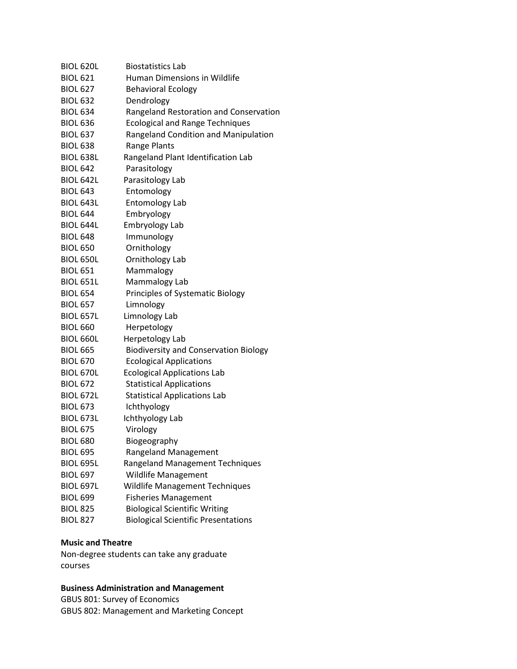| <b>BIOL 620L</b> | <b>Biostatistics Lab</b>                     |
|------------------|----------------------------------------------|
| <b>BIOL 621</b>  | Human Dimensions in Wildlife                 |
| <b>BIOL 627</b>  | <b>Behavioral Ecology</b>                    |
| <b>BIOL 632</b>  | Dendrology                                   |
| <b>BIOL 634</b>  | Rangeland Restoration and Conservation       |
| <b>BIOL 636</b>  | <b>Ecological and Range Techniques</b>       |
| <b>BIOL 637</b>  | Rangeland Condition and Manipulation         |
| <b>BIOL 638</b>  | Range Plants                                 |
| <b>BIOL 638L</b> | Rangeland Plant Identification Lab           |
| <b>BIOL 642</b>  | Parasitology                                 |
| <b>BIOL 642L</b> | Parasitology Lab                             |
| <b>BIOL 643</b>  | Entomology                                   |
| <b>BIOL 643L</b> | Entomology Lab                               |
| <b>BIOL 644</b>  | Embryology                                   |
| <b>BIOL 644L</b> | Embryology Lab                               |
| <b>BIOL 648</b>  | Immunology                                   |
| <b>BIOL 650</b>  | Ornithology                                  |
| <b>BIOL 650L</b> | Ornithology Lab                              |
| <b>BIOL 651</b>  | Mammalogy                                    |
| <b>BIOL 651L</b> | Mammalogy Lab                                |
| <b>BIOL 654</b>  | Principles of Systematic Biology             |
| <b>BIOL 657</b>  | Limnology                                    |
| <b>BIOL 657L</b> | Limnology Lab                                |
| <b>BIOL 660</b>  | Herpetology                                  |
| <b>BIOL 660L</b> | Herpetology Lab                              |
| <b>BIOL 665</b>  | <b>Biodiversity and Conservation Biology</b> |
| <b>BIOL 670</b>  | <b>Ecological Applications</b>               |
| <b>BIOL 670L</b> | <b>Ecological Applications Lab</b>           |
| <b>BIOL 672</b>  | <b>Statistical Applications</b>              |
| <b>BIOL 672L</b> | <b>Statistical Applications Lab</b>          |
| <b>BIOL 673</b>  | Ichthyology                                  |
| <b>BIOL 673L</b> | Ichthyology Lab                              |
| <b>BIOL 675</b>  | Virology                                     |
| <b>BIOL 680</b>  | Biogeography                                 |
| <b>BIOL 695</b>  | <b>Rangeland Management</b>                  |
| <b>BIOL 695L</b> | <b>Rangeland Management Techniques</b>       |
| <b>BIOL 697</b>  | <b>Wildlife Management</b>                   |
| <b>BIOL 697L</b> | Wildlife Management Techniques               |
| <b>BIOL 699</b>  | <b>Fisheries Management</b>                  |
| <b>BIOL 825</b>  | <b>Biological Scientific Writing</b>         |
| <b>BIOL 827</b>  | <b>Biological Scientific Presentations</b>   |

# **Music and Theatre**

Non-degree students can take any graduate courses

# **Business Administration and Management**

GBUS 801: Survey of Economics GBUS 802: Management and Marketing Concept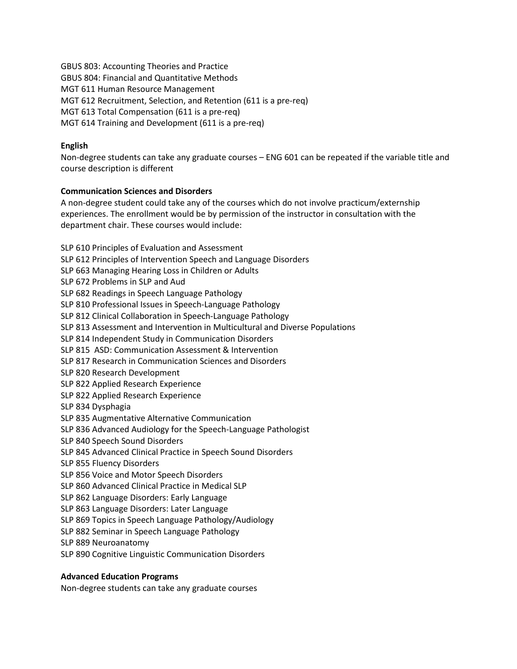GBUS 803: Accounting Theories and Practice GBUS 804: Financial and Quantitative Methods MGT 611 Human Resource Management MGT 612 Recruitment, Selection, and Retention (611 is a pre-req) MGT 613 Total Compensation (611 is a pre-req) MGT 614 Training and Development (611 is a pre-req)

# **English**

Non-degree students can take any graduate courses – ENG 601 can be repeated if the variable title and course description is different

# **Communication Sciences and Disorders**

A non-degree student could take any of the courses which do not involve practicum/externship experiences. The enrollment would be by permission of the instructor in consultation with the department chair. These courses would include:

SLP 610 Principles of Evaluation and Assessment SLP 612 Principles of Intervention Speech and Language Disorders SLP 663 Managing Hearing Loss in Children or Adults SLP 672 Problems in SLP and Aud SLP 682 Readings in Speech Language Pathology SLP 810 Professional Issues in Speech-Language Pathology SLP 812 Clinical Collaboration in Speech-Language Pathology SLP 813 Assessment and Intervention in Multicultural and Diverse Populations SLP 814 Independent Study in Communication Disorders SLP 815 ASD: Communication Assessment & Intervention SLP 817 Research in Communication Sciences and Disorders SLP 820 Research Development SLP 822 Applied Research Experience SLP 822 Applied Research Experience SLP 834 Dysphagia SLP 835 Augmentative Alternative Communication SLP 836 Advanced Audiology for the Speech-Language Pathologist SLP 840 Speech Sound Disorders SLP 845 Advanced Clinical Practice in Speech Sound Disorders SLP 855 Fluency Disorders SLP 856 Voice and Motor Speech Disorders SLP 860 Advanced Clinical Practice in Medical SLP SLP 862 Language Disorders: Early Language SLP 863 Language Disorders: Later Language SLP 869 Topics in Speech Language Pathology/Audiology SLP 882 Seminar in Speech Language Pathology SLP 889 Neuroanatomy SLP 890 Cognitive Linguistic Communication Disorders

# **Advanced Education Programs**

Non-degree students can take any graduate courses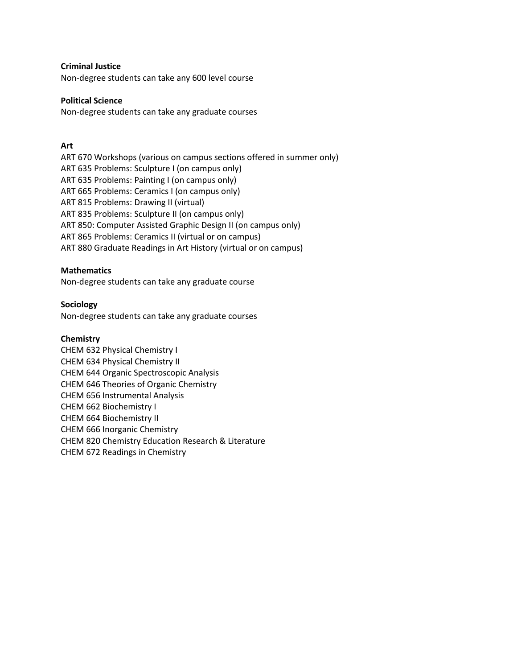#### **Criminal Justice**

Non-degree students can take any 600 level course

#### **Political Science**

Non-degree students can take any graduate courses

## **Art**

ART 670 Workshops (various on campus sections offered in summer only) ART 635 Problems: Sculpture I (on campus only) ART 635 Problems: Painting I (on campus only) ART 665 Problems: Ceramics I (on campus only) ART 815 Problems: Drawing II (virtual) ART 835 Problems: Sculpture II (on campus only) ART 850: Computer Assisted Graphic Design II (on campus only) ART 865 Problems: Ceramics II (virtual or on campus) ART 880 Graduate Readings in Art History (virtual or on campus)

## **Mathematics**

Non-degree students can take any graduate course

## **Sociology**

Non-degree students can take any graduate courses

#### **Chemistry**

CHEM 632 Physical Chemistry I CHEM 634 Physical Chemistry II CHEM 644 Organic Spectroscopic Analysis CHEM 646 Theories of Organic Chemistry CHEM 656 Instrumental Analysis CHEM 662 Biochemistry I CHEM 664 Biochemistry II CHEM 666 Inorganic Chemistry CHEM 820 Chemistry Education Research & Literature CHEM 672 Readings in Chemistry